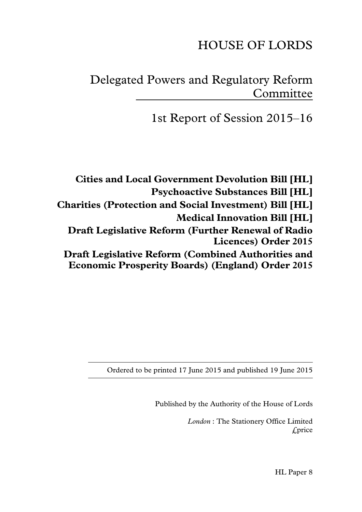# HOUSE OF LORDS

# Delegated Powers and Regulatory Reform Committee

1st Report of Session 2015–16

**Cities and Local Government Devolution Bill [HL] Psychoactive Substances Bill [HL] Charities (Protection and Social Investment) Bill [HL] Medical Innovation Bill [HL] Draft Legislative Reform (Further Renewal of Radio Licences) Order 2015 Draft Legislative Reform (Combined Authorities and Economic Prosperity Boards) (England) Order 2015**

Ordered to be printed 17 June 2015 and published 19 June 2015

Published by the Authority of the House of Lords

*London* : The Stationery Office Limited £price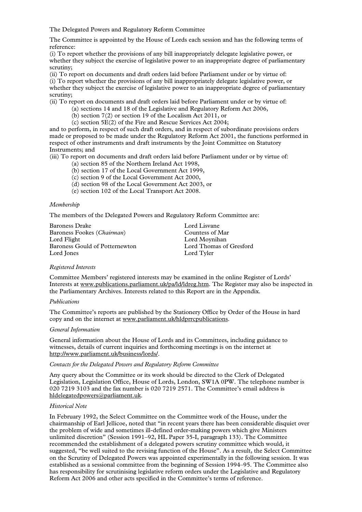The Delegated Powers and Regulatory Reform Committee

The Committee is appointed by the House of Lords each session and has the following terms of reference:

(i) To report whether the provisions of any bill inappropriately delegate legislative power, or whether they subject the exercise of legislative power to an inappropriate degree of parliamentary scrutiny;

(ii) To report on documents and draft orders laid before Parliament under or by virtue of:

(i) To report whether the provisions of any bill inappropriately delegate legislative power, or whether they subject the exercise of legislative power to an inappropriate degree of parliamentary scrutiny;

(ii) To report on documents and draft orders laid before Parliament under or by virtue of:

- (a) sections 14 and 18 of the Legislative and Regulatory Reform Act 2006,
- (b) section 7(2) or section 19 of the Localism Act 2011, or
- (c) section 5E(2) of the Fire and Rescue Services Act 2004;

and to perform, in respect of such draft orders, and in respect of subordinate provisions orders made or proposed to be made under the Regulatory Reform Act 2001, the functions performed in respect of other instruments and draft instruments by the Joint Committee on Statutory Instruments; and

(iii) To report on documents and draft orders laid before Parliament under or by virtue of:

- (a) section 85 of the Northern Ireland Act 1998,
- (b) section 17 of the Local Government Act 1999,
- (c) section 9 of the Local Government Act 2000,
- (d) section 98 of the Local Government Act 2003, or
- (e) section 102 of the Local Transport Act 2008.

#### *Membership*

The members of the Delegated Powers and Regulatory Reform Committee are:

| Baroness Drake                      | Lord Lisvane            |
|-------------------------------------|-------------------------|
| Baroness Fookes ( <i>Chairman</i> ) | Countess of Mar         |
| Lord Flight                         | Lord Moynihan           |
| Baroness Gould of Potternewton      | Lord Thomas of Gresford |
| Lord Jones                          | Lord Tyler              |

#### *Registered Interests*

Committee Members' registered interests may be examined in the online Register of Lords' Interests at www.publications.parliament.uk/pa/ld/ldreg.htm. The Register may also be inspected in the Parliamentary Archives. Interests related to this Report are in the Appendix.

#### *Publications*

The Committee's reports are published by the Stationery Office by Order of the House in hard copy and on the internet at www.parliament.uk/hldprrcpublications.

#### *General Information*

General information about the House of Lords and its Committees, including guidance to witnesses, details of current inquiries and forthcoming meetings is on the internet at http://www.parliament.uk/business/lords/.

#### *Contacts for the Delegated Powers and Regulatory Reform Committee*

Any query about the Committee or its work should be directed to the Clerk of Delegated Legislation, Legislation Office, House of Lords, London, SW1A 0PW. The telephone number is 020 7219 3103 and the fax number is 020 7219 2571. The Committee's email address is hldelegatedpowers@parliament.uk.

#### *Historical Note*

In February 1992, the Select Committee on the Committee work of the House, under the chairmanship of Earl Jellicoe, noted that "in recent years there has been considerable disquiet over the problem of wide and sometimes ill-defined order-making powers which give Ministers unlimited discretion" (Session 1991–92, HL Paper 35-I, paragraph 133). The Committee recommended the establishment of a delegated powers scrutiny committee which would, it suggested, "be well suited to the revising function of the House". As a result, the Select Committee on the Scrutiny of Delegated Powers was appointed experimentally in the following session. It was established as a sessional committee from the beginning of Session 1994–95. The Committee also has responsibility for scrutinising legislative reform orders under the Legislative and Regulatory Reform Act 2006 and other acts specified in the Committee's terms of reference.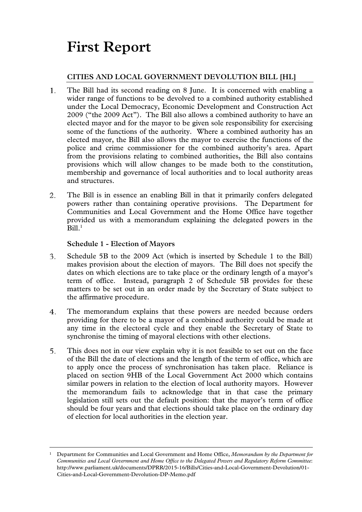# **First Report**

# **CITIES AND LOCAL GOVERNMENT DEVOLUTION BILL [HL]**

- The Bill had its second reading on 8 June. It is concerned with enabling a 1. wider range of functions to be devolved to a combined authority established under the Local Democracy, Economic Development and Construction Act 2009 ("the 2009 Act"). The Bill also allows a combined authority to have an elected mayor and for the mayor to be given sole responsibility for exercising some of the functions of the authority. Where a combined authority has an elected mayor, the Bill also allows the mayor to exercise the functions of the police and crime commissioner for the combined authority's area. Apart from the provisions relating to combined authorities, the Bill also contains provisions which will allow changes to be made both to the constitution, membership and governance of local authorities and to local authority areas and structures.
- The Bill is in essence an enabling Bill in that it primarily confers delegated 2. powers rather than containing operative provisions. The Department for Communities and Local Government and the Home Office have together provided us with a memorandum explaining the delegated powers in the  $Bill.<sup>1</sup>$

**Schedule 1 - Election of Mayors** 

- 3. Schedule 5B to the 2009 Act (which is inserted by Schedule 1 to the Bill) makes provision about the election of mayors. The Bill does not specify the dates on which elections are to take place or the ordinary length of a mayor's term of office. Instead, paragraph 2 of Schedule 5B provides for these matters to be set out in an order made by the Secretary of State subject to the affirmative procedure.
- $4.$ The memorandum explains that these powers are needed because orders providing for there to be a mayor of a combined authority could be made at any time in the electoral cycle and they enable the Secretary of State to synchronise the timing of mayoral elections with other elections.
- 5. This does not in our view explain why it is not feasible to set out on the face of the Bill the date of elections and the length of the term of office, which are to apply once the process of synchronisation has taken place. Reliance is placed on section 9HB of the Local Government Act 2000 which contains similar powers in relation to the election of local authority mayors. However the memorandum fails to acknowledge that in that case the primary legislation still sets out the default position: that the mayor's term of office should be four years and that elections should take place on the ordinary day of election for local authorities in the election year.

 <sup>1</sup> Department for Communities and Local Government and Home Office, *Memorandum by the Department for Communities and Local Government and Home Office to the Delegated Powers and Regulatory Reform Committee*: http://www.parliament.uk/documents/DPRR/2015-16/Bills/Cities-and-Local-Government-Devolution/01- Cities-and-Local-Government-Devolution-DP-Memo.pdf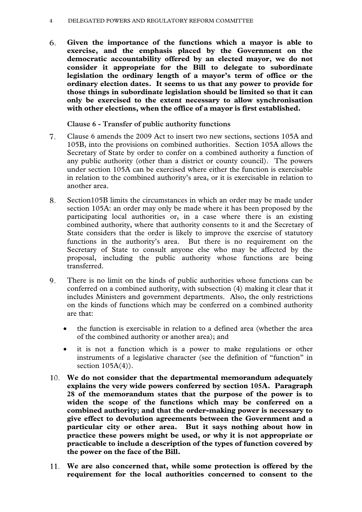#### 4 DELEGATED POWERS AND REGULATORY REFORM COMMITTEE

6. **Given the importance of the functions which a mayor is able to exercise, and the emphasis placed by the Government on the democratic accountability offered by an elected mayor, we do not consider it appropriate for the Bill to delegate to subordinate legislation the ordinary length of a mayor's term of office or the ordinary election dates. It seems to us that any power to provide for those things in subordinate legislation should be limited so that it can only be exercised to the extent necessary to allow synchronisation with other elections, when the office of a mayor is first established.** 

**Clause 6 - Transfer of public authority functions** 

- 7. Clause 6 amends the 2009 Act to insert two new sections, sections 105A and 105B, into the provisions on combined authorities. Section 105A allows the Secretary of State by order to confer on a combined authority a function of any public authority (other than a district or county council). The powers under section 105A can be exercised where either the function is exercisable in relation to the combined authority's area, or it is exercisable in relation to another area.
- 8. Section105B limits the circumstances in which an order may be made under section 105A: an order may only be made where it has been proposed by the participating local authorities or, in a case where there is an existing combined authority, where that authority consents to it and the Secretary of State considers that the order is likely to improve the exercise of statutory functions in the authority's area. But there is no requirement on the Secretary of State to consult anyone else who may be affected by the proposal, including the public authority whose functions are being transferred.
- There is no limit on the kinds of public authorities whose functions can be 9. conferred on a combined authority, with subsection (4) making it clear that it includes Ministers and government departments. Also, the only restrictions on the kinds of functions which may be conferred on a combined authority are that:
	- the function is exercisable in relation to a defined area (whether the area of the combined authority or another area); and
	- it is not a function which is a power to make regulations or other instruments of a legislative character (see the definition of "function" in section  $105A(4)$ ).
- **We do not consider that the departmental memorandum adequately explains the very wide powers conferred by section 105A. Paragraph 28 of the memorandum states that the purpose of the power is to widen the scope of the functions which may be conferred on a combined authority; and that the order-making power is necessary to give effect to devolution agreements between the Government and a particular city or other area. But it says nothing about how in practice these powers might be used, or why it is not appropriate or practicable to include a description of the types of function covered by the power on the face of the Bill.**
- **We are also concerned that, while some protection is offered by the requirement for the local authorities concerned to consent to the**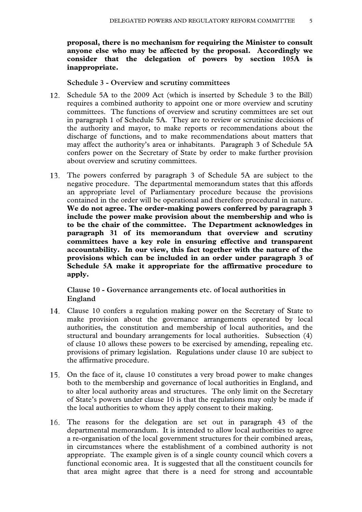**proposal, there is no mechanism for requiring the Minister to consult anyone else who may be affected by the proposal. Accordingly we consider that the delegation of powers by section 105A is inappropriate.** 

**Schedule 3 - Overview and scrutiny committees** 

- 12. Schedule 5A to the 2009 Act (which is inserted by Schedule 3 to the Bill) requires a combined authority to appoint one or more overview and scrutiny committees. The functions of overview and scrutiny committees are set out in paragraph 1 of Schedule 5A. They are to review or scrutinise decisions of the authority and mayor, to make reports or recommendations about the discharge of functions, and to make recommendations about matters that may affect the authority's area or inhabitants. Paragraph 3 of Schedule 5A confers power on the Secretary of State by order to make further provision about overview and scrutiny committees.
- The powers conferred by paragraph 3 of Schedule 5A are subject to the negative procedure. The departmental memorandum states that this affords an appropriate level of Parliamentary procedure because the provisions contained in the order will be operational and therefore procedural in nature. **We do not agree. The order-making powers conferred by paragraph 3 include the power make provision about the membership and who is to be the chair of the committee. The Department acknowledges in paragraph 31 of its memorandum that overview and scrutiny committees have a key role in ensuring effective and transparent accountability. In our view, this fact together with the nature of the provisions which can be included in an order under paragraph 3 of Schedule 5A make it appropriate for the affirmative procedure to apply.**

**Clause 10 - Governance arrangements etc. of local authorities in England** 

- Clause 10 confers a regulation making power on the Secretary of State to make provision about the governance arrangements operated by local authorities, the constitution and membership of local authorities, and the structural and boundary arrangements for local authorities. Subsection (4) of clause 10 allows these powers to be exercised by amending, repealing etc. provisions of primary legislation. Regulations under clause 10 are subject to the affirmative procedure.
- On the face of it, clause 10 constitutes a very broad power to make changes both to the membership and governance of local authorities in England, and to alter local authority areas and structures. The only limit on the Secretary of State's powers under clause 10 is that the regulations may only be made if the local authorities to whom they apply consent to their making.
- The reasons for the delegation are set out in paragraph 43 of the departmental memorandum. It is intended to allow local authorities to agree a re-organisation of the local government structures for their combined areas, in circumstances where the establishment of a combined authority is not appropriate. The example given is of a single county council which covers a functional economic area. It is suggested that all the constituent councils for that area might agree that there is a need for strong and accountable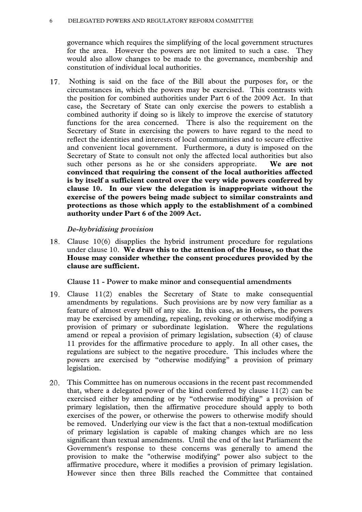#### 6 DELEGATED POWERS AND REGULATORY REFORM COMMITTEE

governance which requires the simplifying of the local government structures for the area. However the powers are not limited to such a case. They would also allow changes to be made to the governance, membership and constitution of individual local authorities.

 Nothing is said on the face of the Bill about the purposes for, or the 17. circumstances in, which the powers may be exercised. This contrasts with the position for combined authorities under Part 6 of the 2009 Act. In that case, the Secretary of State can only exercise the powers to establish a combined authority if doing so is likely to improve the exercise of statutory functions for the area concerned. There is also the requirement on the Secretary of State in exercising the powers to have regard to the need to reflect the identities and interests of local communities and to secure effective and convenient local government. Furthermore, a duty is imposed on the Secretary of State to consult not only the affected local authorities but also such other persons as he or she considers appropriate. **We are not convinced that requiring the consent of the local authorities affected is by itself a sufficient control over the very wide powers conferred by clause 10. In our view the delegation is inappropriate without the exercise of the powers being made subject to similar constraints and protections as those which apply to the establishment of a combined authority under Part 6 of the 2009 Act.** 

*De-hybridising provision* 

Clause 10(6) disapplies the hybrid instrument procedure for regulations 18. under clause 10. **We draw this to the attention of the House, so that the House may consider whether the consent procedures provided by the clause are sufficient.** 

**Clause 11 - Power to make minor and consequential amendments** 

- Clause 11(2) enables the Secretary of State to make consequential amendments by regulations. Such provisions are by now very familiar as a feature of almost every bill of any size. In this case, as in others, the powers may be exercised by amending, repealing, revoking or otherwise modifying a provision of primary or subordinate legislation. Where the regulations amend or repeal a provision of primary legislation, subsection (4) of clause 11 provides for the affirmative procedure to apply. In all other cases, the regulations are subject to the negative procedure. This includes where the powers are exercised by "otherwise modifying" a provision of primary legislation.
- This Committee has on numerous occasions in the recent past recommended that, where a delegated power of the kind conferred by clause  $11(2)$  can be exercised either by amending or by "otherwise modifying" a provision of primary legislation, then the affirmative procedure should apply to both exercises of the power, or otherwise the powers to otherwise modify should be removed. Underlying our view is the fact that a non-textual modification of primary legislation is capable of making changes which are no less significant than textual amendments. Until the end of the last Parliament the Government's response to these concerns was generally to amend the provision to make the "otherwise modifying" power also subject to the affirmative procedure, where it modifies a provision of primary legislation. However since then three Bills reached the Committee that contained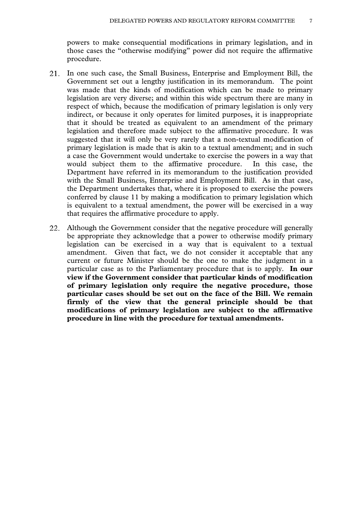powers to make consequential modifications in primary legislation, and in those cases the "otherwise modifying" power did not require the affirmative procedure.

- In one such case, the Small Business, Enterprise and Employment Bill, the Government set out a lengthy justification in its memorandum. The point was made that the kinds of modification which can be made to primary legislation are very diverse; and within this wide spectrum there are many in respect of which, because the modification of primary legislation is only very indirect, or because it only operates for limited purposes, it is inappropriate that it should be treated as equivalent to an amendment of the primary legislation and therefore made subject to the affirmative procedure. It was suggested that it will only be very rarely that a non-textual modification of primary legislation is made that is akin to a textual amendment; and in such a case the Government would undertake to exercise the powers in a way that would subject them to the affirmative procedure. In this case, the Department have referred in its memorandum to the justification provided with the Small Business, Enterprise and Employment Bill. As in that case, the Department undertakes that, where it is proposed to exercise the powers conferred by clause 11 by making a modification to primary legislation which is equivalent to a textual amendment, the power will be exercised in a way that requires the affirmative procedure to apply.
- Although the Government consider that the negative procedure will generally be appropriate they acknowledge that a power to otherwise modify primary legislation can be exercised in a way that is equivalent to a textual amendment. Given that fact, we do not consider it acceptable that any current or future Minister should be the one to make the judgment in a particular case as to the Parliamentary procedure that is to apply. **In our view if the Government consider that particular kinds of modification of primary legislation only require the negative procedure, those particular cases should be set out on the face of the Bill. We remain firmly of the view that the general principle should be that modifications of primary legislation are subject to the affirmative procedure in line with the procedure for textual amendments.**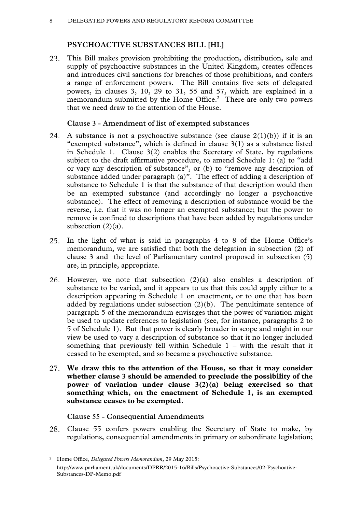# **PSYCHOACTIVE SUBSTANCES BILL [HL]**

This Bill makes provision prohibiting the production, distribution, sale and supply of psychoactive substances in the United Kingdom, creates offences and introduces civil sanctions for breaches of those prohibitions, and confers a range of enforcement powers. The Bill contains five sets of delegated powers, in clauses 3, 10, 29 to 31, 55 and 57, which are explained in a memorandum submitted by the Home Office.<sup>2</sup> There are only two powers that we need draw to the attention of the House.

# **Clause 3 - Amendment of list of exempted substances**

- 24. A substance is not a psychoactive substance (see clause  $2(1)(b)$ ) if it is an "exempted substance", which is defined in clause 3(1) as a substance listed in Schedule 1. Clause 3(2) enables the Secretary of State, by regulations subject to the draft affirmative procedure, to amend Schedule 1: (a) to "add or vary any description of substance", or (b) to "remove any description of substance added under paragraph (a)". The effect of adding a description of substance to Schedule 1 is that the substance of that description would then be an exempted substance (and accordingly no longer a psychoactive substance). The effect of removing a description of substance would be the reverse, i.e. that it was no longer an exempted substance; but the power to remove is confined to descriptions that have been added by regulations under subsection  $(2)(a)$ .
- In the light of what is said in paragraphs 4 to 8 of the Home Office's memorandum, we are satisfied that both the delegation in subsection (2) of clause 3 and the level of Parliamentary control proposed in subsection (5) are, in principle, appropriate.
- However, we note that subsection (2)(a) also enables a description of 26. substance to be varied, and it appears to us that this could apply either to a description appearing in Schedule 1 on enactment, or to one that has been added by regulations under subsection  $(2)(b)$ . The penultimate sentence of paragraph 5 of the memorandum envisages that the power of variation might be used to update references to legislation (see, for instance, paragraphs 2 to 5 of Schedule 1). But that power is clearly broader in scope and might in our view be used to vary a description of substance so that it no longer included something that previously fell within Schedule  $1 -$  with the result that it ceased to be exempted, and so became a psychoactive substance.
- 27. **We draw this to the attention of the House, so that it may consider whether clause 3 should be amended to preclude the possibility of the power of variation under clause 3(2)(a) being exercised so that something which, on the enactment of Schedule 1, is an exempted substance ceases to be exempted.**

# **Clause 55 - Consequential Amendments**

28. Clause 55 confers powers enabling the Secretary of State to make, by regulations, consequential amendments in primary or subordinate legislation;

 <sup>2</sup> Home Office, *Delegated Powers Memorandum*, 29 May 2015: http://www.parliament.uk/documents/DPRR/2015-16/Bills/Psychoactive-Substances/02-Psychoative-Substances-DP-Memo.pdf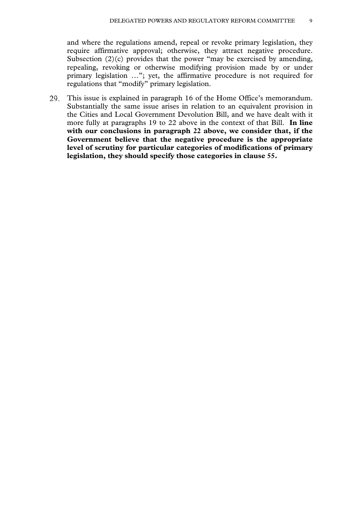and where the regulations amend, repeal or revoke primary legislation, they require affirmative approval; otherwise, they attract negative procedure. Subsection  $(2)(c)$  provides that the power "may be exercised by amending, repealing, revoking or otherwise modifying provision made by or under primary legislation …"; yet, the affirmative procedure is not required for regulations that "modify" primary legislation.

This issue is explained in paragraph 16 of the Home Office's memorandum. Substantially the same issue arises in relation to an equivalent provision in the Cities and Local Government Devolution Bill, and we have dealt with it more fully at paragraphs 19 to 22 above in the context of that Bill. **In line with our conclusions in paragraph 22 above, we consider that, if the Government believe that the negative procedure is the appropriate level of scrutiny for particular categories of modifications of primary legislation, they should specify those categories in clause 55.**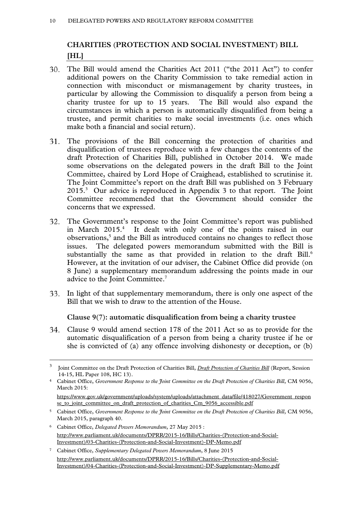# **CHARITIES (PROTECTION AND SOCIAL INVESTMENT) BILL [HL]**

- The Bill would amend the Charities Act 2011 ("the 2011 Act") to confer additional powers on the Charity Commission to take remedial action in connection with misconduct or mismanagement by charity trustees, in particular by allowing the Commission to disqualify a person from being a charity trustee for up to 15 years. The Bill would also expand the circumstances in which a person is automatically disqualified from being a trustee, and permit charities to make social investments (i.e. ones which make both a financial and social return).
- The provisions of the Bill concerning the protection of charities and disqualification of trustees reproduce with a few changes the contents of the draft Protection of Charities Bill, published in October 2014. We made some observations on the delegated powers in the draft Bill to the Joint Committee, chaired by Lord Hope of Craighead, established to scrutinise it. The Joint Committee's report on the draft Bill was published on 3 February 2015.3 Our advice is reproduced in Appendix 3 to that report. The Joint Committee recommended that the Government should consider the concerns that we expressed.
- The Government's response to the Joint Committee's report was published in March 2015.<sup>4</sup> It dealt with only one of the points raised in our observations,<sup>5</sup> and the Bill as introduced contains no changes to reflect those issues. The delegated powers memorandum submitted with the Bill is substantially the same as that provided in relation to the draft  $\text{Bill.}^6$ However, at the invitation of our adviser, the Cabinet Office did provide (on 8 June) a supplementary memorandum addressing the points made in our advice to the Joint Committee.<sup>7</sup>
- 33. In light of that supplementary memorandum, there is only one aspect of the Bill that we wish to draw to the attention of the House.

**Clause 9(7): automatic disqualification from being a charity trustee** 

Clause 9 would amend section 178 of the 2011 Act so as to provide for the automatic disqualification of a person from being a charity trustee if he or she is convicted of (a) any offence involving dishonesty or deception, or (b)

7 Cabinet Office, *Supplementary Delegated Powers Memorandum*, 8 June 2015 http://www.parliament.uk/documents/DPRR/2015-16/Bills/Charities-(Protection-and-Social-Investment)/04-Charities-(Protection-and-Social-Investment)-DP-Supplementary-Memo.pdf

 $\overline{3}$  Joint Committee on the Draft Protection of Charities Bill, *Draft Protection of Charities Bill* (Report, Session 14-15, HL Paper 108, HC 13).

<sup>&</sup>lt;sup>4</sup> Cabinet Office, *Government Response to the Joint Committee on the Draft Protection of Charities Bill, CM 9056,* March 2015:

https://www.gov.uk/government/uploads/system/uploads/attachment\_data/file/418027/Government\_respon se to joint committee on draft protection of charities Cm 9056 accessible.pdf

<sup>5</sup> Cabinet Office, *Government Response to the Joint Committee on the Draft Protection of Charities Bill*, CM 9056, March 2015, paragraph 40.

<sup>6</sup> Cabinet Office, *Delegated Powers Memorandum*, 27 May 2015 : http://www.parliament.uk/documents/DPRR/2015-16/Bills/Charities-(Protection-and-Social-Investment)/03-Charities-(Protection-and-Social-Investment)-DP-Memo.pdf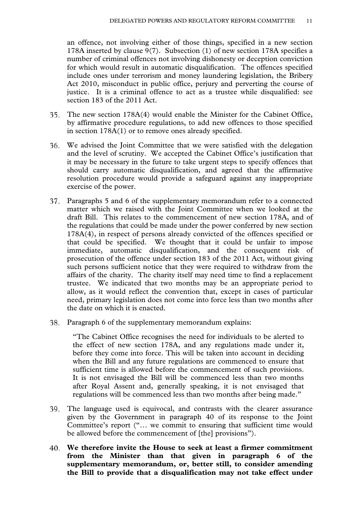an offence, not involving either of those things, specified in a new section 178A inserted by clause 9(7). Subsection (1) of new section 178A specifies a number of criminal offences not involving dishonesty or deception conviction for which would result in automatic disqualification. The offences specified include ones under terrorism and money laundering legislation, the Bribery Act 2010, misconduct in public office, perjury and perverting the course of justice. It is a criminal offence to act as a trustee while disqualified: see section 183 of the 2011 Act.

- The new section 178A(4) would enable the Minister for the Cabinet Office, 35. by affirmative procedure regulations, to add new offences to those specified in section 178A(1) or to remove ones already specified.
- We advised the Joint Committee that we were satisfied with the delegation and the level of scrutiny. We accepted the Cabinet Office's justification that it may be necessary in the future to take urgent steps to specify offences that should carry automatic disqualification, and agreed that the affirmative resolution procedure would provide a safeguard against any inappropriate exercise of the power.
- Paragraphs 5 and 6 of the supplementary memorandum refer to a connected matter which we raised with the Joint Committee when we looked at the draft Bill. This relates to the commencement of new section 178A, and of the regulations that could be made under the power conferred by new section 178A(4), in respect of persons already convicted of the offences specified or that could be specified. We thought that it could be unfair to impose immediate, automatic disqualification, and the consequent risk of prosecution of the offence under section 183 of the 2011 Act, without giving such persons sufficient notice that they were required to withdraw from the affairs of the charity. The charity itself may need time to find a replacement trustee. We indicated that two months may be an appropriate period to allow, as it would reflect the convention that, except in cases of particular need, primary legislation does not come into force less than two months after the date on which it is enacted.
- Paragraph 6 of the supplementary memorandum explains:

"The Cabinet Office recognises the need for individuals to be alerted to the effect of new section 178A, and any regulations made under it, before they come into force. This will be taken into account in deciding when the Bill and any future regulations are commenced to ensure that sufficient time is allowed before the commencement of such provisions. It is not envisaged the Bill will be commenced less than two months after Royal Assent and, generally speaking, it is not envisaged that regulations will be commenced less than two months after being made."

- The language used is equivocal, and contrasts with the clearer assurance given by the Government in paragraph 40 of its response to the Joint Committee's report ("… we commit to ensuring that sufficient time would be allowed before the commencement of [the] provisions").
- **We therefore invite the House to seek at least a firmer commitment from the Minister than that given in paragraph 6 of the supplementary memorandum, or, better still, to consider amending the Bill to provide that a disqualification may not take effect under**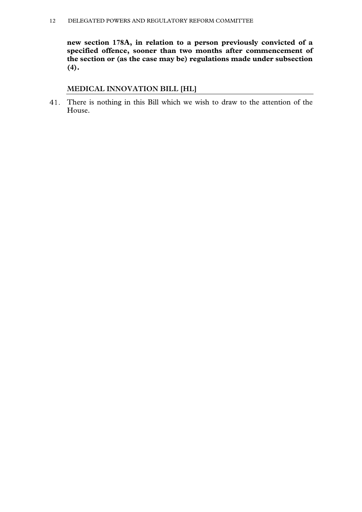**new section 178A, in relation to a person previously convicted of a specified offence, sooner than two months after commencement of the section or (as the case may be) regulations made under subsection (4).** 

# **MEDICAL INNOVATION BILL [HL]**

There is nothing in this Bill which we wish to draw to the attention of the House.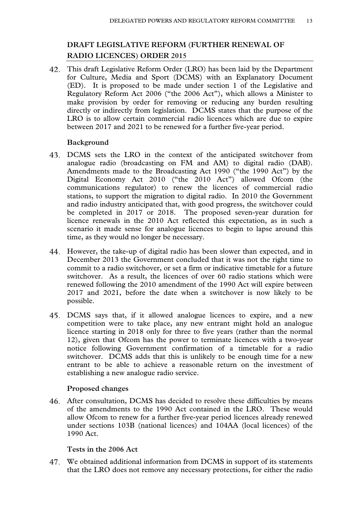# **DRAFT LEGISLATIVE REFORM (FURTHER RENEWAL OF RADIO LICENCES) ORDER 2015**

This draft Legislative Reform Order (LRO) has been laid by the Department for Culture, Media and Sport (DCMS) with an Explanatory Document (ED). It is proposed to be made under section 1 of the Legislative and Regulatory Reform Act 2006 ("the 2006 Act"), which allows a Minister to make provision by order for removing or reducing any burden resulting directly or indirectly from legislation. DCMS states that the purpose of the LRO is to allow certain commercial radio licences which are due to expire between 2017 and 2021 to be renewed for a further five-year period.

# **Background**

- DCMS sets the LRO in the context of the anticipated switchover from analogue radio (broadcasting on FM and AM) to digital radio (DAB). Amendments made to the Broadcasting Act 1990 ("the 1990 Act") by the Digital Economy Act 2010 ("the 2010 Act") allowed Ofcom (the communications regulator) to renew the licences of commercial radio stations, to support the migration to digital radio. In 2010 the Government and radio industry anticipated that, with good progress, the switchover could be completed in 2017 or 2018. The proposed seven-year duration for licence renewals in the 2010 Act reflected this expectation, as in such a scenario it made sense for analogue licences to begin to lapse around this time, as they would no longer be necessary.
- However, the take-up of digital radio has been slower than expected, and in December 2013 the Government concluded that it was not the right time to commit to a radio switchover, or set a firm or indicative timetable for a future switchover. As a result, the licences of over 60 radio stations which were renewed following the 2010 amendment of the 1990 Act will expire between 2017 and 2021, before the date when a switchover is now likely to be possible.
- DCMS says that, if it allowed analogue licences to expire, and a new competition were to take place, any new entrant might hold an analogue licence starting in 2018 only for three to five years (rather than the normal 12), given that Ofcom has the power to terminate licences with a two-year notice following Government confirmation of a timetable for a radio switchover. DCMS adds that this is unlikely to be enough time for a new entrant to be able to achieve a reasonable return on the investment of establishing a new analogue radio service.

# **Proposed changes**

After consultation, DCMS has decided to resolve these difficulties by means of the amendments to the 1990 Act contained in the LRO. These would allow Ofcom to renew for a further five-year period licences already renewed under sections 103B (national licences) and 104AA (local licences) of the 1990 Act.

# **Tests in the 2006 Act**

We obtained additional information from DCMS in support of its statements that the LRO does not remove any necessary protections, for either the radio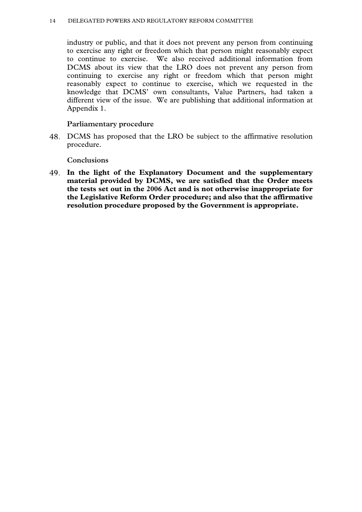#### 14 DELEGATED POWERS AND REGULATORY REFORM COMMITTEE

industry or public, and that it does not prevent any person from continuing to exercise any right or freedom which that person might reasonably expect to continue to exercise. We also received additional information from DCMS about its view that the LRO does not prevent any person from continuing to exercise any right or freedom which that person might reasonably expect to continue to exercise, which we requested in the knowledge that DCMS' own consultants, Value Partners, had taken a different view of the issue. We are publishing that additional information at Appendix 1.

#### **Parliamentary procedure**

DCMS has proposed that the LRO be subject to the affirmative resolution procedure.

#### **Conclusions**

**In the light of the Explanatory Document and the supplementary material provided by DCMS, we are satisfied that the Order meets the tests set out in the 2006 Act and is not otherwise inappropriate for the Legislative Reform Order procedure; and also that the affirmative resolution procedure proposed by the Government is appropriate.**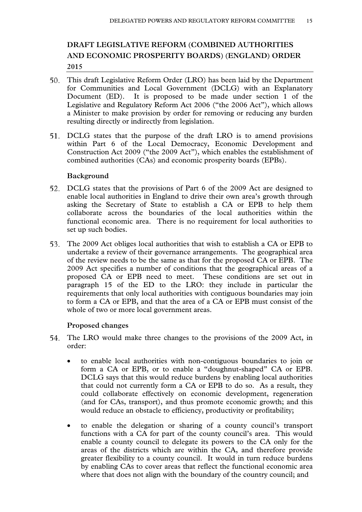# **DRAFT LEGISLATIVE REFORM (COMBINED AUTHORITIES AND ECONOMIC PROSPERITY BOARDS) (ENGLAND) ORDER 2015**

- This draft Legislative Reform Order (LRO) has been laid by the Department for Communities and Local Government (DCLG) with an Explanatory Document (ED). It is proposed to be made under section 1 of the Legislative and Regulatory Reform Act 2006 ("the 2006 Act"), which allows a Minister to make provision by order for removing or reducing any burden resulting directly or indirectly from legislation.
- DCLG states that the purpose of the draft LRO is to amend provisions within Part 6 of the Local Democracy, Economic Development and Construction Act 2009 ("the 2009 Act"), which enables the establishment of combined authorities (CAs) and economic prosperity boards (EPBs).

#### **Background**

- DCLG states that the provisions of Part 6 of the 2009 Act are designed to enable local authorities in England to drive their own area's growth through asking the Secretary of State to establish a CA or EPB to help them collaborate across the boundaries of the local authorities within the functional economic area. There is no requirement for local authorities to set up such bodies.
- The 2009 Act obliges local authorities that wish to establish a CA or EPB to undertake a review of their governance arrangements. The geographical area of the review needs to be the same as that for the proposed CA or EPB. The 2009 Act specifies a number of conditions that the geographical areas of a proposed CA or EPB need to meet. These conditions are set out in paragraph 15 of the ED to the LRO: they include in particular the requirements that only local authorities with contiguous boundaries may join to form a CA or EPB, and that the area of a CA or EPB must consist of the whole of two or more local government areas.

# **Proposed changes**

- The LRO would make three changes to the provisions of the 2009 Act, in order:
	- to enable local authorities with non-contiguous boundaries to join or form a CA or EPB, or to enable a "doughnut-shaped" CA or EPB. DCLG says that this would reduce burdens by enabling local authorities that could not currently form a CA or EPB to do so. As a result, they could collaborate effectively on economic development, regeneration (and for CAs, transport), and thus promote economic growth; and this would reduce an obstacle to efficiency, productivity or profitability;
	- to enable the delegation or sharing of a county council's transport functions with a CA for part of the county council's area. This would enable a county council to delegate its powers to the CA only for the areas of the districts which are within the CA, and therefore provide greater flexibility to a county council. It would in turn reduce burdens by enabling CAs to cover areas that reflect the functional economic area where that does not align with the boundary of the country council; and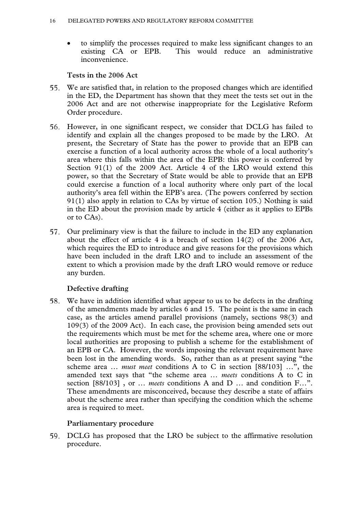to simplify the processes required to make less significant changes to an existing CA or EPB. This would reduce an administrative inconvenience.

# **Tests in the 2006 Act**

- We are satisfied that, in relation to the proposed changes which are identified 55. in the ED, the Department has shown that they meet the tests set out in the 2006 Act and are not otherwise inappropriate for the Legislative Reform Order procedure.
- However, in one significant respect, we consider that DCLG has failed to identify and explain all the changes proposed to be made by the LRO. At present, the Secretary of State has the power to provide that an EPB can exercise a function of a local authority across the whole of a local authority's area where this falls within the area of the EPB: this power is conferred by Section 91(1) of the 2009 Act. Article 4 of the LRO would extend this power, so that the Secretary of State would be able to provide that an EPB could exercise a function of a local authority where only part of the local authority's area fell within the EPB's area. (The powers conferred by section 91(1) also apply in relation to CAs by virtue of section 105.) Nothing is said in the ED about the provision made by article 4 (either as it applies to EPBs or to CAs).
- 57. Our preliminary view is that the failure to include in the ED any explanation about the effect of article 4 is a breach of section  $14(2)$  of the 2006 Act, which requires the ED to introduce and give reasons for the provisions which have been included in the draft LRO and to include an assessment of the extent to which a provision made by the draft LRO would remove or reduce any burden.

# **Defective drafting**

We have in addition identified what appear to us to be defects in the drafting of the amendments made by articles 6 and 15. The point is the same in each case, as the articles amend parallel provisions (namely, sections 98(3) and 109(3) of the 2009 Act). In each case, the provision being amended sets out the requirements which must be met for the scheme area, where one or more local authorities are proposing to publish a scheme for the establishment of an EPB or CA. However, the words imposing the relevant requirement have been lost in the amending words. So, rather than as at present saying "the scheme area … *must meet* conditions A to C in section [88/103] …", the amended text says that "the scheme area … *meets* conditions A to C in section [88/103] , or … *meets* conditions A and D … and condition F…". These amendments are misconceived, because they describe a state of affairs about the scheme area rather than specifying the condition which the scheme area is required to meet.

# **Parliamentary procedure**

DCLG has proposed that the LRO be subject to the affirmative resolution procedure.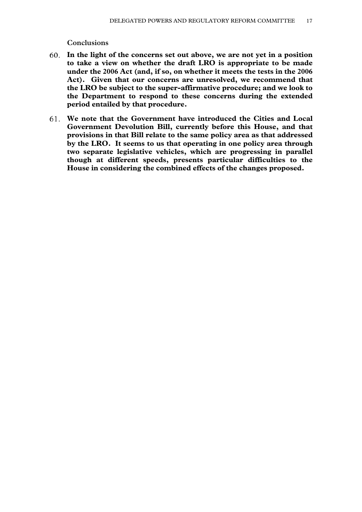#### **Conclusions**

- **In the light of the concerns set out above, we are not yet in a position to take a view on whether the draft LRO is appropriate to be made under the 2006 Act (and, if so, on whether it meets the tests in the 2006 Act). Given that our concerns are unresolved, we recommend that the LRO be subject to the super-affirmative procedure; and we look to the Department to respond to these concerns during the extended period entailed by that procedure.**
- **We note that the Government have introduced the Cities and Local Government Devolution Bill, currently before this House, and that provisions in that Bill relate to the same policy area as that addressed by the LRO. It seems to us that operating in one policy area through two separate legislative vehicles, which are progressing in parallel though at different speeds, presents particular difficulties to the House in considering the combined effects of the changes proposed.**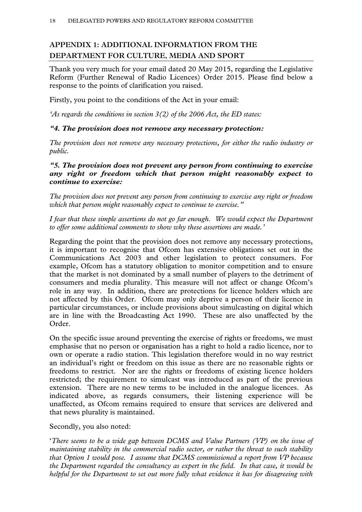# **APPENDIX 1: ADDITIONAL INFORMATION FROM THE DEPARTMENT FOR CULTURE, MEDIA AND SPORT**

Thank you very much for your email dated 20 May 2015, regarding the Legislative Reform (Further Renewal of Radio Licences) Order 2015. Please find below a response to the points of clarification you raised.

Firstly, you point to the conditions of the Act in your email:

*'As regards the conditions in section 3(2) of the 2006 Act, the ED states:* 

# *"4. The provision does not remove any necessary protection:*

*The provision does not remove any necessary protections, for either the radio industry or public.* 

# *"5. The provision does not prevent any person from continuing to exercise any right or freedom which that person might reasonably expect to continue to exercise:*

*The provision does not prevent any person from continuing to exercise any right or freedom which that person might reasonably expect to continue to exercise."* 

*I fear that these simple assertions do not go far enough. We would expect the Department to offer some additional comments to show why these assertions are made.'* 

Regarding the point that the provision does not remove any necessary protections, it is important to recognise that Ofcom has extensive obligations set out in the Communications Act 2003 and other legislation to protect consumers. For example, Ofcom has a statutory obligation to monitor competition and to ensure that the market is not dominated by a small number of players to the detriment of consumers and media plurality. This measure will not affect or change Ofcom's role in any way. In addition, there are protections for licence holders which are not affected by this Order. Ofcom may only deprive a person of their licence in particular circumstances, or include provisions about simulcasting on digital which are in line with the Broadcasting Act 1990. These are also unaffected by the Order.

On the specific issue around preventing the exercise of rights or freedoms, we must emphasise that no person or organisation has a right to hold a radio licence, nor to own or operate a radio station. This legislation therefore would in no way restrict an individual's right or freedom on this issue as there are no reasonable rights or freedoms to restrict. Nor are the rights or freedoms of existing licence holders restricted; the requirement to simulcast was introduced as part of the previous extension. There are no new terms to be included in the analogue licences. As indicated above, as regards consumers, their listening experience will be unaffected, as Ofcom remains required to ensure that services are delivered and that news plurality is maintained.

Secondly, you also noted:

'*There seems to be a wide gap between DCMS and Value Partners (VP) on the issue of maintaining stability in the commercial radio sector, or rather the threat to such stability that Option 1 would pose. I assume that DCMS commissioned a report from VP because the Department regarded the consultancy as expert in the field. In that case, it would be helpful for the Department to set out more fully what evidence it has for disagreeing with*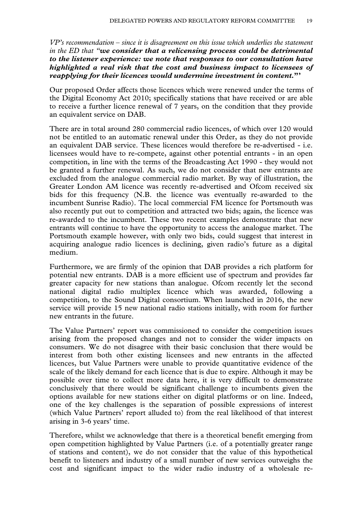*VP's recommendation – since it is disagreement on this issue which underlies the statement in the ED that "we consider that a relicensing process could be detrimental to the listener experience: we note that responses to our consultation have highlighted a real risk that the cost and business impact to licensees of reapplying for their licences would undermine investment in content.***"'**

Our proposed Order affects those licences which were renewed under the terms of the Digital Economy Act 2010; specifically stations that have received or are able to receive a further licence renewal of 7 years, on the condition that they provide an equivalent service on DAB.

There are in total around 280 commercial radio licences, of which over 120 would not be entitled to an automatic renewal under this Order, as they do not provide an equivalent DAB service. These licences would therefore be re-advertised - i.e. licensees would have to re-compete, against other potential entrants - in an open competition, in line with the terms of the Broadcasting Act 1990 - they would not be granted a further renewal. As such, we do not consider that new entrants are excluded from the analogue commercial radio market. By way of illustration, the Greater London AM licence was recently re-advertised and Ofcom received six bids for this frequency (N.B. the licence was eventually re-awarded to the incumbent Sunrise Radio). The local commercial FM licence for Portsmouth was also recently put out to competition and attracted two bids; again, the licence was re-awarded to the incumbent. These two recent examples demonstrate that new entrants will continue to have the opportunity to access the analogue market. The Portsmouth example however, with only two bids, could suggest that interest in acquiring analogue radio licences is declining, given radio's future as a digital medium.

Furthermore, we are firmly of the opinion that DAB provides a rich platform for potential new entrants. DAB is a more efficient use of spectrum and provides far greater capacity for new stations than analogue. Ofcom recently let the second national digital radio multiplex licence which was awarded, following a competition, to the Sound Digital consortium. When launched in 2016, the new service will provide 15 new national radio stations initially, with room for further new entrants in the future.

The Value Partners' report was commissioned to consider the competition issues arising from the proposed changes and not to consider the wider impacts on consumers. We do not disagree with their basic conclusion that there would be interest from both other existing licensees and new entrants in the affected licences, but Value Partners were unable to provide quantitative evidence of the scale of the likely demand for each licence that is due to expire. Although it may be possible over time to collect more data here, it is very difficult to demonstrate conclusively that there would be significant challenge to incumbents given the options available for new stations either on digital platforms or on line. Indeed, one of the key challenges is the separation of possible expressions of interest (which Value Partners' report alluded to) from the real likelihood of that interest arising in 3-6 years' time.

Therefore, whilst we acknowledge that there is a theoretical benefit emerging from open competition highlighted by Value Partners (i.e. of a potentially greater range of stations and content), we do not consider that the value of this hypothetical benefit to listeners and industry of a small number of new services outweighs the cost and significant impact to the wider radio industry of a wholesale re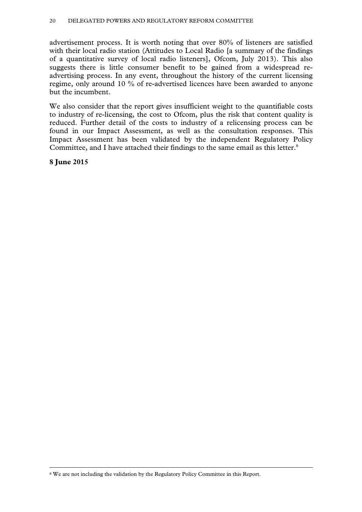advertisement process. It is worth noting that over 80% of listeners are satisfied with their local radio station (Attitudes to Local Radio [a summary of the findings of a quantitative survey of local radio listeners], Ofcom, July 2013). This also suggests there is little consumer benefit to be gained from a widespread readvertising process. In any event, throughout the history of the current licensing regime, only around 10 % of re-advertised licences have been awarded to anyone but the incumbent.

We also consider that the report gives insufficient weight to the quantifiable costs to industry of re-licensing, the cost to Ofcom, plus the risk that content quality is reduced. Further detail of the costs to industry of a relicensing process can be found in our Impact Assessment, as well as the consultation responses. This Impact Assessment has been validated by the independent Regulatory Policy Committee, and I have attached their findings to the same email as this letter.<sup>8</sup>

**8 June 2015** 

 <sup>8</sup> We are not including the validation by the Regulatory Policy Committee in this Report.